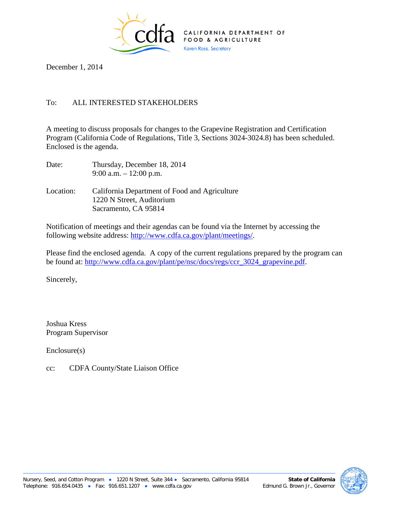

December 1, 2014

## To: ALL INTERESTED STAKEHOLDERS

A meeting to discuss proposals for changes to the Grapevine Registration and Certification Program (California Code of Regulations, Title 3, Sections 3024-3024.8) has been scheduled. Enclosed is the agenda.

| Date:     | Thursday, December 18, 2014<br>9:00 a.m. $-12:00$ p.m.                                             |
|-----------|----------------------------------------------------------------------------------------------------|
| Location: | California Department of Food and Agriculture<br>1220 N Street, Auditorium<br>Sacramento, CA 95814 |

Notification of meetings and their agendas can be found via the Internet by accessing the following website address: [http://www.cdfa.ca.gov/plant/meetings/.](http://www.cdfa.ca.gov/plant/meetings/)

Please find the enclosed agenda. A copy of the current regulations prepared by the program can be found at: [http://www.cdfa.ca.gov/plant/pe/nsc/docs/regs/ccr\\_3024\\_grapevine.pdf.](http://www.cdfa.ca.gov/plant/pe/nsc/docs/regs/ccr_3024_grapevine.pdf)

Sincerely,

Joshua Kress Program Supervisor

Enclosure(s)

cc: CDFA County/State Liaison Office